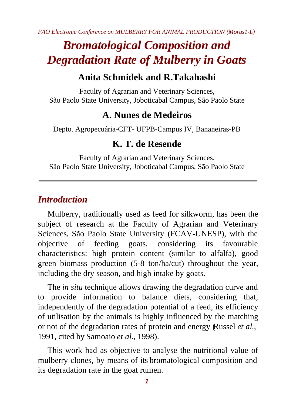# *Bromatological Composition and Degradation Rate of Mulberry in Goats*

# **Anita Schmidek and R.Takahashi**

Faculty of Agrarian and Veterinary Sciences, São Paolo State University, Joboticabal Campus, São Paolo State

# **A. Nunes de Medeiros**

Depto. Agropecuária-CFT- UFPB-Campus IV, Bananeiras-PB

### **K. T. de Resende**

Faculty of Agrarian and Veterinary Sciences, São Paolo State University, Joboticabal Campus, São Paolo State

### *Introduction*

Mulberry, traditionally used as feed for silkworm, has been the subject of research at the Faculty of Agrarian and Veterinary Sciences, São Paolo State University (FCAV-UNESP), with the objective of feeding goats, considering its favourable characteristics: high protein content (similar to alfalfa), good green biomass production (5-8 ton/ha/cut) throughout the year, including the dry season, and high intake by goats.

The *in situ* technique allows drawing the degradation curve and to provide information to balance diets, considering that, independently of the degradation potential of a feed, its efficiency of utilisation by the animals is highly influenced by the matching or not of the degradation rates of protein and energy (Russel *et al*., 1991, cited by Samoaio *et al*., 1998).

This work had as objective to analyse the nutritional value of mulberry clones, by means of its bromatological composition and its degradation rate in the goat rumen.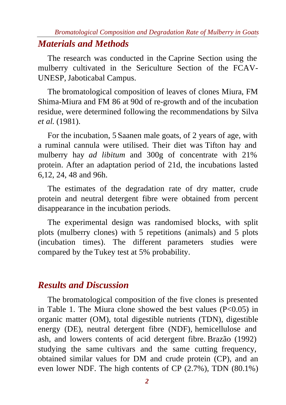#### *Bromatological Composition and Degradation Rate of Mulberry in Goats*

### *Materials and Methods*

The research was conducted in the Caprine Section using the mulberry cultivated in the Sericulture Section of the FCAV-UNESP, Jaboticabal Campus.

The bromatological composition of leaves of clones Miura, FM Shima-Miura and FM 86 at 90d of re-growth and of the incubation residue, were determined following the recommendations by Silva *et al*. (1981).

For the incubation, 5 Saanen male goats, of 2 years of age, with a ruminal cannula were utilised. Their diet was Tifton hay and mulberry hay *ad libitum* and 300g of concentrate with 21% protein. After an adaptation period of 21d, the incubations lasted 6,12, 24, 48 and 96h.

The estimates of the degradation rate of dry matter, crude protein and neutral detergent fibre were obtained from percent disappearance in the incubation periods.

The experimental design was randomised blocks, with split plots (mulberry clones) with 5 repetitions (animals) and 5 plots (incubation times). The different parameters studies were compared by the Tukey test at 5% probability.

### *Results and Discussion*

The bromatological composition of the five clones is presented in Table 1. The Miura clone showed the best values  $(P<0.05)$  in organic matter (OM), total digestible nutrients (TDN), digestible energy (DE), neutral detergent fibre (NDF), hemicellulose and ash, and lowers contents of acid detergent fibre. Brazão (1992) studying the same cultivars and the same cutting frequency, obtained similar values for DM and crude protein (CP), and an even lower NDF. The high contents of CP (2.7%), TDN (80.1%)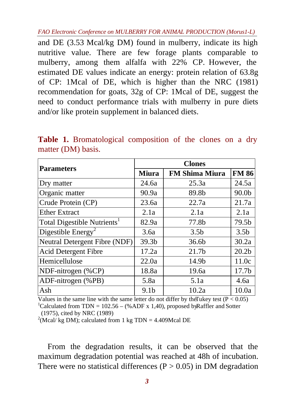*FAO Electronic Conference on MULBERRY FOR ANIMAL PRODUCTION (Morus1-L)*

and DE (3.53 Mcal/kg DM) found in mulberry, indicate its high nutritive value. There are few forage plants comparable to mulberry, among them alfalfa with 22% CP. However, the estimated DE values indicate an energy: protein relation of 63.8g of CP: 1Mcal of DE, which is higher than the NRC (1981) recommendation for goats, 32g of CP: 1Mcal of DE, suggest the need to conduct performance trials with mulberry in pure diets and/or like protein supplement in balanced diets.

|                                         | <b>Clones</b>     |                       |                   |  |  |  |
|-----------------------------------------|-------------------|-----------------------|-------------------|--|--|--|
| <b>Parameters</b>                       | <b>Miura</b>      | <b>FM Shima Miura</b> | <b>FM 86</b>      |  |  |  |
| Dry matter                              | 24.6a             | 25.3a                 | 24.5a             |  |  |  |
| Organic matter                          | 90.9a             | 89.8b                 | 90.0 <sub>b</sub> |  |  |  |
| Crude Protein (CP)                      | 23.6a             | 22.7a                 | 21.7a             |  |  |  |
| <b>Ether Extract</b>                    | 2.1a              | 2.1a                  | 2.1a              |  |  |  |
| Total Digestible Nutrients <sup>1</sup> | 82.9a             | 77.8b                 | 79.5b             |  |  |  |
| Digestible Energy <sup>2</sup>          | 3.6a              | 3.5 <sub>b</sub>      | 3.5 <sub>b</sub>  |  |  |  |
| Neutral Detergent Fibre (NDF)           | 39.3 <sub>b</sub> | 36.6 <sub>b</sub>     | 30.2a             |  |  |  |
| <b>Acid Detergent Fibre</b>             | 17.2a             | 21.7b                 | 20.2 <sub>b</sub> |  |  |  |
| Hemicellulose                           | 22.0a             | 14.9b                 | 11.0c             |  |  |  |
| NDF-nitrogen (%CP)                      | 18.8a             | 19.6a                 | 17.7 <sub>b</sub> |  |  |  |
| ADF-nitrogen (%PB)                      | 5.8a              | 5.1a                  | 4.6a              |  |  |  |
| Ash                                     | 9.1 <sub>b</sub>  | 10.2a                 | 10.0a             |  |  |  |

**Table 1.** Bromatological composition of the clones on a dry matter (DM) basis.

Values in the same line with the same letter do not differ by the Tukey test  $(P < 0.05)$ <sup>1</sup>Calculated from TDN = 102.56 – (%ADF x 1,40), proposed by Raffler and Sotter (1975), cited by NRC (1989)

<sup>2</sup>(Mcal/ kg DM); calculated from 1 kg TDN = 4.409Mcal DE

From the degradation results, it can be observed that the maximum degradation potential was reached at 48h of incubation. There were no statistical differences ( $P > 0.05$ ) in DM degradation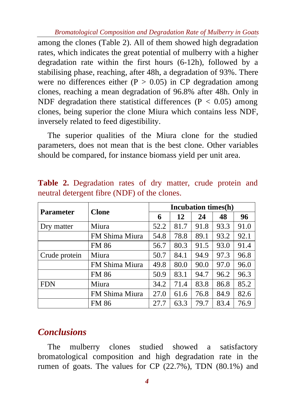*Bromatological Composition and Degradation Rate of Mulberry in Goats*

among the clones (Table 2). All of them showed high degradation rates, which indicates the great potential of mulberry with a higher degradation rate within the first hours (6-12h), followed by a stabilising phase, reaching, after 48h, a degradation of 93%. There were no differences either ( $P > 0.05$ ) in CP degradation among clones, reaching a mean degradation of 96.8% after 48h. Only in NDF degradation there statistical differences ( $P < 0.05$ ) among clones, being superior the clone Miura which contains less NDF, inversely related to feed digestibility.

The superior qualities of the Miura clone for the studied parameters, does not mean that is the best clone. Other variables should be compared, for instance biomass yield per unit area.

|                  | <b>Clone</b>   | Incubation times(h) |      |      |      |      |  |
|------------------|----------------|---------------------|------|------|------|------|--|
| <b>Parameter</b> |                | 6                   | 12   | 24   | 48   | 96   |  |
| Dry matter       | Miura          | 52.2                | 81.7 | 91.8 | 93.3 | 91.0 |  |
|                  | FM Shima Miura | 54.8                | 78.8 | 89.1 | 93.2 | 92.1 |  |
|                  | <b>FM 86</b>   | 56.7                | 80.3 | 91.5 | 93.0 | 91.4 |  |
| Crude protein    | Miura          | 50.7                | 84.1 | 94.9 | 97.3 | 96.8 |  |
|                  | FM Shima Miura | 49.8                | 80.0 | 90.0 | 97.0 | 96.0 |  |
|                  | <b>FM 86</b>   | 50.9                | 83.1 | 94.7 | 96.2 | 96.3 |  |
| <b>FDN</b>       | Miura          | 34.2                | 71.4 | 83.8 | 86.8 | 85.2 |  |
|                  | FM Shima Miura | 27.0                | 61.6 | 76.8 | 84.9 | 82.6 |  |
|                  | <b>FM 86</b>   | 27.7                | 63.3 | 79.7 | 83.4 | 76.9 |  |

**Table 2.** Degradation rates of dry matter, crude protein and neutral detergent fibre (NDF) of the clones.

# *Conclusions*

The mulberry clones studied showed a satisfactory bromatological composition and high degradation rate in the rumen of goats. The values for CP (22.7%), TDN (80.1%) and